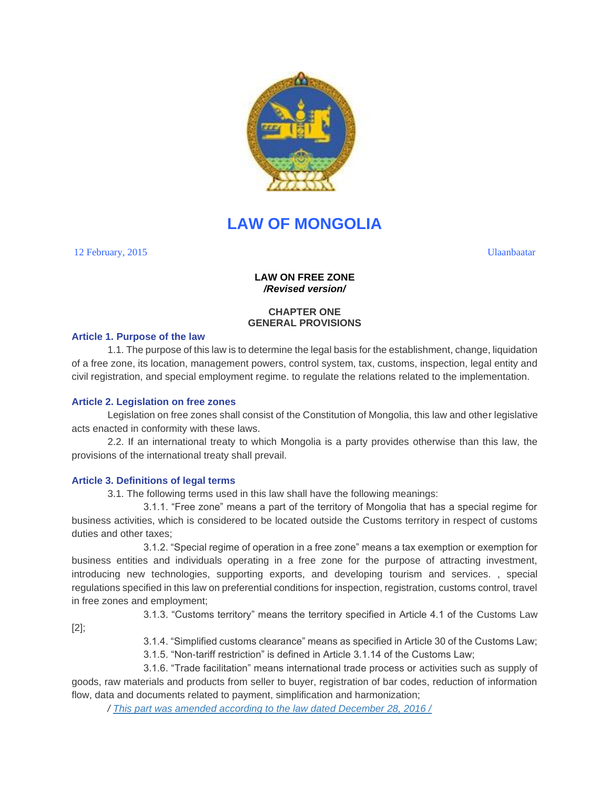

# **LAW OF MONGOLIA**

12 February, 2015 Ulaanbaatar

# **LAW ON FREE ZONE** */Revised version/*

# **CHAPTER ONE GENERAL PROVISIONS**

## **Article 1. Purpose of the law**

1.1. The purpose of this law is to determine the legal basis for the establishment, change, liquidation of a free zone, its location, management powers, control system, tax, customs, inspection, legal entity and civil registration, and special employment regime. to regulate the relations related to the implementation.

# **Article 2. Legislation on free zones**

Legislation on free zones shall consist of the Constitution of Mongolia, this law and other legislative acts enacted in conformity with these laws.

2.2. If an international treaty to which Mongolia is a party provides otherwise than this law, the provisions of the international treaty shall prevail.

# **Article 3. Definitions of legal terms**

3.1. The following terms used in this law shall have the following meanings:

3.1.1. "Free zone" means a part of the territory of Mongolia that has a special regime for business activities, which is considered to be located outside the Customs territory in respect of customs duties and other taxes;

3.1.2. "Special regime of operation in a free zone" means a tax exemption or exemption for business entities and individuals operating in a free zone for the purpose of attracting investment, introducing new technologies, supporting exports, and developing tourism and services. , special regulations specified in this law on preferential conditions for inspection, registration, customs control, travel in free zones and employment;

[2];

3.1.3. "Customs territory" means the territory specified in Article 4.1 of the Customs Law

3.1.4. "Simplified customs clearance" means as specified in Article 30 of the Customs Law;

3.1.5. "Non-tariff restriction" is defined in Article 3.1.14 of the Customs Law;

3.1.6. "Trade facilitation" means international trade process or activities such as supply of goods, raw materials and products from seller to buyer, registration of bar codes, reduction of information flow, data and documents related to payment, simplification and harmonization;

*/ This part was amended according to the law dated [December](file:///C:/111/HTMBHuuliud.16.10.06/Mongol%20Ulsiin%20Khuuli/Nemelt/2016/16-ne-257.docx) 28, 2016 /*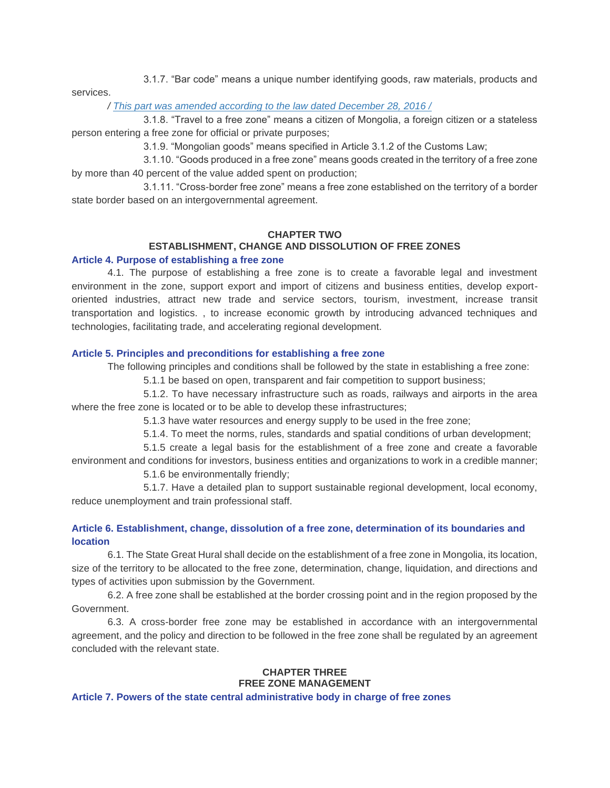3.1.7. "Bar code" means a unique number identifying goods, raw materials, products and services.

## */ This part was amended according to the law dated [December](file:///C:/111/HTMBHuuliud.16.10.06/Mongol%20Ulsiin%20Khuuli/Nemelt/2016/16-ne-257.docx) 28, 2016 /*

3.1.8. "Travel to a free zone" means a citizen of Mongolia, a foreign citizen or a stateless person entering a free zone for official or private purposes;

3.1.9. "Mongolian goods" means specified in Article 3.1.2 of the Customs Law;

3.1.10. "Goods produced in a free zone" means goods created in the territory of a free zone by more than 40 percent of the value added spent on production;

3.1.11. "Cross-border free zone" means a free zone established on the territory of a border state border based on an intergovernmental agreement.

# **CHAPTER TWO**

# **ESTABLISHMENT, CHANGE AND DISSOLUTION OF FREE ZONES**

## **Article 4. Purpose of establishing a free zone**

4.1. The purpose of establishing a free zone is to create a favorable legal and investment environment in the zone, support export and import of citizens and business entities, develop exportoriented industries, attract new trade and service sectors, tourism, investment, increase transit transportation and logistics. , to increase economic growth by introducing advanced techniques and technologies, facilitating trade, and accelerating regional development.

#### **Article 5. Principles and preconditions for establishing a free zone**

The following principles and conditions shall be followed by the state in establishing a free zone:

5.1.1 be based on open, transparent and fair competition to support business;

5.1.2. To have necessary infrastructure such as roads, railways and airports in the area where the free zone is located or to be able to develop these infrastructures;

5.1.3 have water resources and energy supply to be used in the free zone;

5.1.4. To meet the norms, rules, standards and spatial conditions of urban development;

5.1.5 create a legal basis for the establishment of a free zone and create a favorable environment and conditions for investors, business entities and organizations to work in a credible manner;

5.1.6 be environmentally friendly;

5.1.7. Have a detailed plan to support sustainable regional development, local economy, reduce unemployment and train professional staff.

# **Article 6. Establishment, change, dissolution of a free zone, determination of its boundaries and location**

6.1. The State Great Hural shall decide on the establishment of a free zone in Mongolia, its location, size of the territory to be allocated to the free zone, determination, change, liquidation, and directions and types of activities upon submission by the Government.

6.2. A free zone shall be established at the border crossing point and in the region proposed by the Government.

6.3. A cross-border free zone may be established in accordance with an intergovernmental agreement, and the policy and direction to be followed in the free zone shall be regulated by an agreement concluded with the relevant state.

# **CHAPTER THREE FREE ZONE MANAGEMENT**

**Article 7. Powers of the state central administrative body in charge of free zones**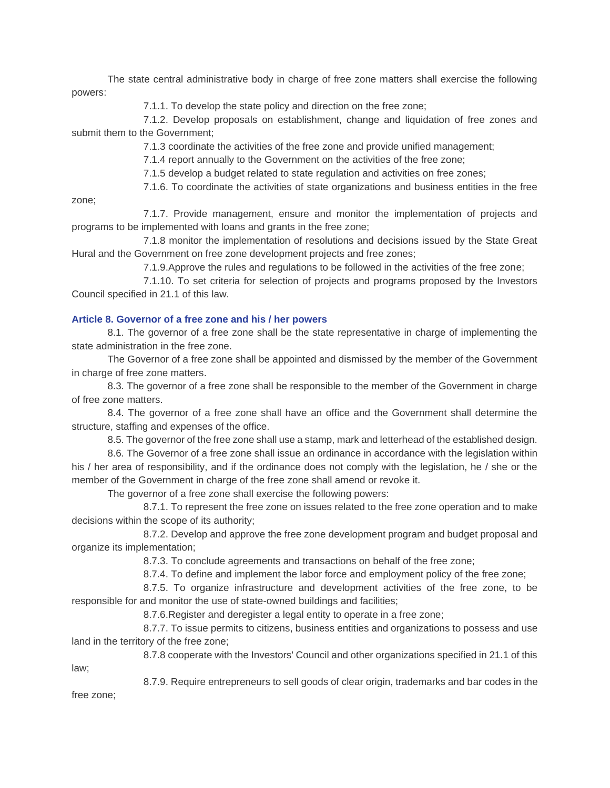The state central administrative body in charge of free zone matters shall exercise the following powers:

7.1.1. To develop the state policy and direction on the free zone;

7.1.2. Develop proposals on establishment, change and liquidation of free zones and submit them to the Government;

7.1.3 coordinate the activities of the free zone and provide unified management;

7.1.4 report annually to the Government on the activities of the free zone;

7.1.5 develop a budget related to state regulation and activities on free zones;

7.1.6. To coordinate the activities of state organizations and business entities in the free

zone;

7.1.7. Provide management, ensure and monitor the implementation of projects and programs to be implemented with loans and grants in the free zone;

7.1.8 monitor the implementation of resolutions and decisions issued by the State Great Hural and the Government on free zone development projects and free zones;

7.1.9.Approve the rules and regulations to be followed in the activities of the free zone;

7.1.10. To set criteria for selection of projects and programs proposed by the Investors Council specified in 21.1 of this law.

## **Article 8. Governor of a free zone and his / her powers**

8.1. The governor of a free zone shall be the state representative in charge of implementing the state administration in the free zone.

The Governor of a free zone shall be appointed and dismissed by the member of the Government in charge of free zone matters.

8.3. The governor of a free zone shall be responsible to the member of the Government in charge of free zone matters.

8.4. The governor of a free zone shall have an office and the Government shall determine the structure, staffing and expenses of the office.

8.5. The governor of the free zone shall use a stamp, mark and letterhead of the established design.

8.6. The Governor of a free zone shall issue an ordinance in accordance with the legislation within his / her area of responsibility, and if the ordinance does not comply with the legislation, he / she or the member of the Government in charge of the free zone shall amend or revoke it.

The governor of a free zone shall exercise the following powers:

8.7.1. To represent the free zone on issues related to the free zone operation and to make decisions within the scope of its authority;

8.7.2. Develop and approve the free zone development program and budget proposal and organize its implementation;

8.7.3. To conclude agreements and transactions on behalf of the free zone;

8.7.4. To define and implement the labor force and employment policy of the free zone;

8.7.5. To organize infrastructure and development activities of the free zone, to be responsible for and monitor the use of state-owned buildings and facilities;

8.7.6.Register and deregister a legal entity to operate in a free zone;

8.7.7. To issue permits to citizens, business entities and organizations to possess and use land in the territory of the free zone;

8.7.8 cooperate with the Investors' Council and other organizations specified in 21.1 of this law;

8.7.9. Require entrepreneurs to sell goods of clear origin, trademarks and bar codes in the

free zone;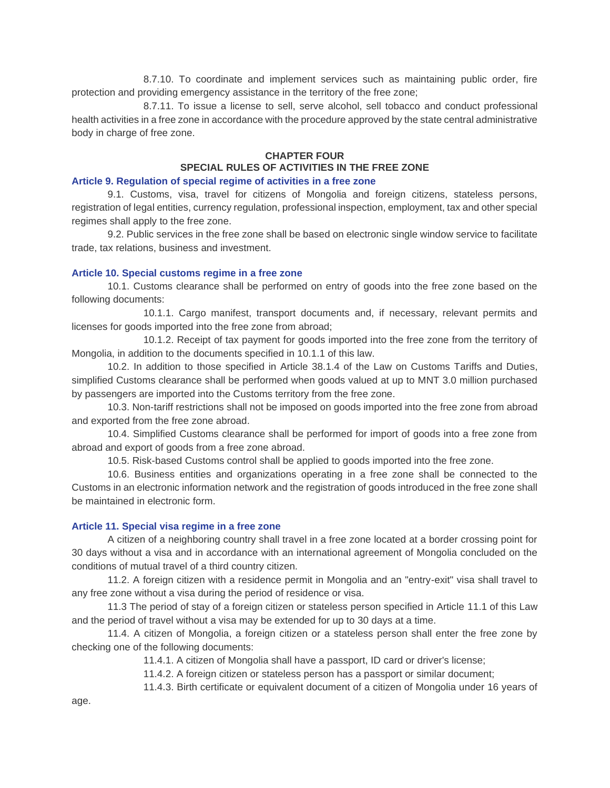8.7.10. To coordinate and implement services such as maintaining public order, fire protection and providing emergency assistance in the territory of the free zone;

8.7.11. To issue a license to sell, serve alcohol, sell tobacco and conduct professional health activities in a free zone in accordance with the procedure approved by the state central administrative body in charge of free zone.

#### **CHAPTER FOUR**

# **SPECIAL RULES OF ACTIVITIES IN THE FREE ZONE**

#### **Article 9. Regulation of special regime of activities in a free zone**

9.1. Customs, visa, travel for citizens of Mongolia and foreign citizens, stateless persons, registration of legal entities, currency regulation, professional inspection, employment, tax and other special regimes shall apply to the free zone.

9.2. Public services in the free zone shall be based on electronic single window service to facilitate trade, tax relations, business and investment.

#### **Article 10. Special customs regime in a free zone**

10.1. Customs clearance shall be performed on entry of goods into the free zone based on the following documents:

10.1.1. Cargo manifest, transport documents and, if necessary, relevant permits and licenses for goods imported into the free zone from abroad;

10.1.2. Receipt of tax payment for goods imported into the free zone from the territory of Mongolia, in addition to the documents specified in 10.1.1 of this law.

10.2. In addition to those specified in Article 38.1.4 of the Law on Customs Tariffs and Duties, simplified Customs clearance shall be performed when goods valued at up to MNT 3.0 million purchased by passengers are imported into the Customs territory from the free zone.

10.3. Non-tariff restrictions shall not be imposed on goods imported into the free zone from abroad and exported from the free zone abroad.

10.4. Simplified Customs clearance shall be performed for import of goods into a free zone from abroad and export of goods from a free zone abroad.

10.5. Risk-based Customs control shall be applied to goods imported into the free zone.

10.6. Business entities and organizations operating in a free zone shall be connected to the Customs in an electronic information network and the registration of goods introduced in the free zone shall be maintained in electronic form.

#### **Article 11. Special visa regime in a free zone**

A citizen of a neighboring country shall travel in a free zone located at a border crossing point for 30 days without a visa and in accordance with an international agreement of Mongolia concluded on the conditions of mutual travel of a third country citizen.

11.2. A foreign citizen with a residence permit in Mongolia and an "entry-exit" visa shall travel to any free zone without a visa during the period of residence or visa.

11.3 The period of stay of a foreign citizen or stateless person specified in Article 11.1 of this Law and the period of travel without a visa may be extended for up to 30 days at a time.

11.4. A citizen of Mongolia, a foreign citizen or a stateless person shall enter the free zone by checking one of the following documents:

11.4.1. A citizen of Mongolia shall have a passport, ID card or driver's license;

11.4.2. A foreign citizen or stateless person has a passport or similar document;

11.4.3. Birth certificate or equivalent document of a citizen of Mongolia under 16 years of

age.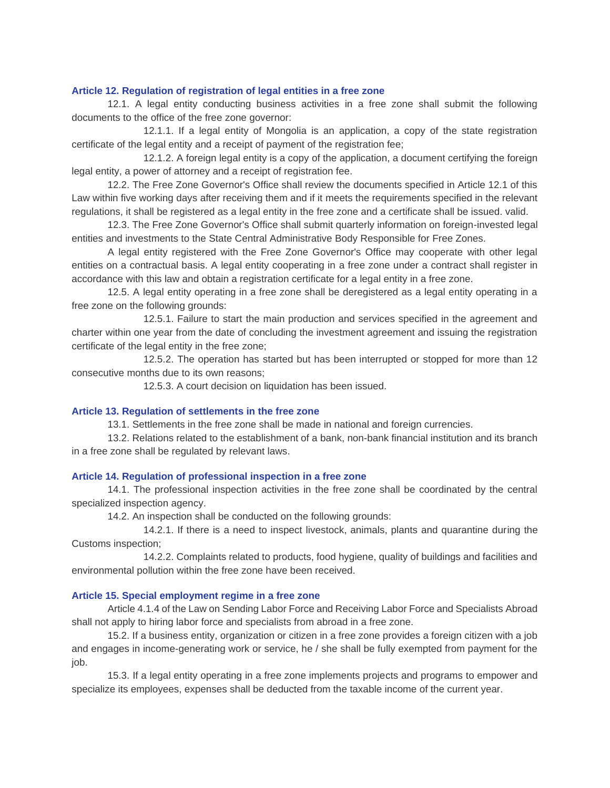## **Article 12. Regulation of registration of legal entities in a free zone**

12.1. A legal entity conducting business activities in a free zone shall submit the following documents to the office of the free zone governor:

12.1.1. If a legal entity of Mongolia is an application, a copy of the state registration certificate of the legal entity and a receipt of payment of the registration fee;

12.1.2. A foreign legal entity is a copy of the application, a document certifying the foreign legal entity, a power of attorney and a receipt of registration fee.

12.2. The Free Zone Governor's Office shall review the documents specified in Article 12.1 of this Law within five working days after receiving them and if it meets the requirements specified in the relevant regulations, it shall be registered as a legal entity in the free zone and a certificate shall be issued. valid.

12.3. The Free Zone Governor's Office shall submit quarterly information on foreign-invested legal entities and investments to the State Central Administrative Body Responsible for Free Zones.

A legal entity registered with the Free Zone Governor's Office may cooperate with other legal entities on a contractual basis. A legal entity cooperating in a free zone under a contract shall register in accordance with this law and obtain a registration certificate for a legal entity in a free zone.

12.5. A legal entity operating in a free zone shall be deregistered as a legal entity operating in a free zone on the following grounds:

12.5.1. Failure to start the main production and services specified in the agreement and charter within one year from the date of concluding the investment agreement and issuing the registration certificate of the legal entity in the free zone;

12.5.2. The operation has started but has been interrupted or stopped for more than 12 consecutive months due to its own reasons;

12.5.3. A court decision on liquidation has been issued.

#### **Article 13. Regulation of settlements in the free zone**

13.1. Settlements in the free zone shall be made in national and foreign currencies.

13.2. Relations related to the establishment of a bank, non-bank financial institution and its branch in a free zone shall be regulated by relevant laws.

# **Article 14. Regulation of professional inspection in a free zone**

14.1. The professional inspection activities in the free zone shall be coordinated by the central specialized inspection agency.

14.2. An inspection shall be conducted on the following grounds:

14.2.1. If there is a need to inspect livestock, animals, plants and quarantine during the Customs inspection;

14.2.2. Complaints related to products, food hygiene, quality of buildings and facilities and environmental pollution within the free zone have been received.

## **Article 15. Special employment regime in a free zone**

Article 4.1.4 of the Law on Sending Labor Force and Receiving Labor Force and Specialists Abroad shall not apply to hiring labor force and specialists from abroad in a free zone.

15.2. If a business entity, organization or citizen in a free zone provides a foreign citizen with a job and engages in income-generating work or service, he / she shall be fully exempted from payment for the job.

15.3. If a legal entity operating in a free zone implements projects and programs to empower and specialize its employees, expenses shall be deducted from the taxable income of the current year.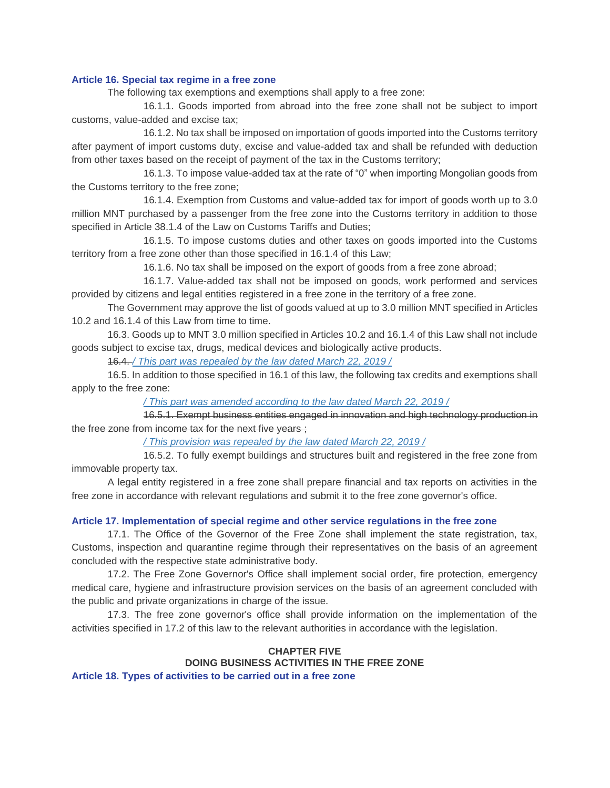# **Article 16. Special tax regime in a free zone**

The following tax exemptions and exemptions shall apply to a free zone:

16.1.1. Goods imported from abroad into the free zone shall not be subject to import customs, value-added and excise tax;

16.1.2. No tax shall be imposed on importation of goods imported into the Customs territory after payment of import customs duty, excise and value-added tax and shall be refunded with deduction from other taxes based on the receipt of payment of the tax in the Customs territory;

16.1.3. To impose value-added tax at the rate of "0" when importing Mongolian goods from the Customs territory to the free zone;

16.1.4. Exemption from Customs and value-added tax for import of goods worth up to 3.0 million MNT purchased by a passenger from the free zone into the Customs territory in addition to those specified in Article 38.1.4 of the Law on Customs Tariffs and Duties;

16.1.5. To impose customs duties and other taxes on goods imported into the Customs territory from a free zone other than those specified in 16.1.4 of this Law;

16.1.6. No tax shall be imposed on the export of goods from a free zone abroad;

16.1.7. Value-added tax shall not be imposed on goods, work performed and services provided by citizens and legal entities registered in a free zone in the territory of a free zone.

The Government may approve the list of goods valued at up to 3.0 million MNT specified in Articles 10.2 and 16.1.4 of this Law from time to time.

16.3. Goods up to MNT 3.0 million specified in Articles 10.2 and 16.1.4 of this Law shall not include goods subject to excise tax, drugs, medical devices and biologically active products.

16.4. */ This part was [repealed](https://www.legalinfo.mn/Nemelt/2019/19-ne-030.docx) by the law dated March 22, 2019 /*

16.5. In addition to those specified in 16.1 of this law, the following tax credits and exemptions shall apply to the free zone:

*/ This part was amended [according](https://www.legalinfo.mn/Nemelt/2019/19-ne-030.docx) to the law dated March 22, 2019 /*

16.5.1. Exempt business entities engaged in innovation and high technology production in the free zone from income tax for the next five years ;

*/ This [provision](https://www.legalinfo.mn/Nemelt/2019/19-ne-030.docx) was repealed by the law dated March 22, 2019 /*

16.5.2. To fully exempt buildings and structures built and registered in the free zone from immovable property tax.

A legal entity registered in a free zone shall prepare financial and tax reports on activities in the free zone in accordance with relevant regulations and submit it to the free zone governor's office.

# **Article 17. Implementation of special regime and other service regulations in the free zone**

17.1. The Office of the Governor of the Free Zone shall implement the state registration, tax, Customs, inspection and quarantine regime through their representatives on the basis of an agreement concluded with the respective state administrative body.

17.2. The Free Zone Governor's Office shall implement social order, fire protection, emergency medical care, hygiene and infrastructure provision services on the basis of an agreement concluded with the public and private organizations in charge of the issue.

17.3. The free zone governor's office shall provide information on the implementation of the activities specified in 17.2 of this law to the relevant authorities in accordance with the legislation.

# **CHAPTER FIVE DOING BUSINESS ACTIVITIES IN THE FREE ZONE**

**Article 18. Types of activities to be carried out in a free zone**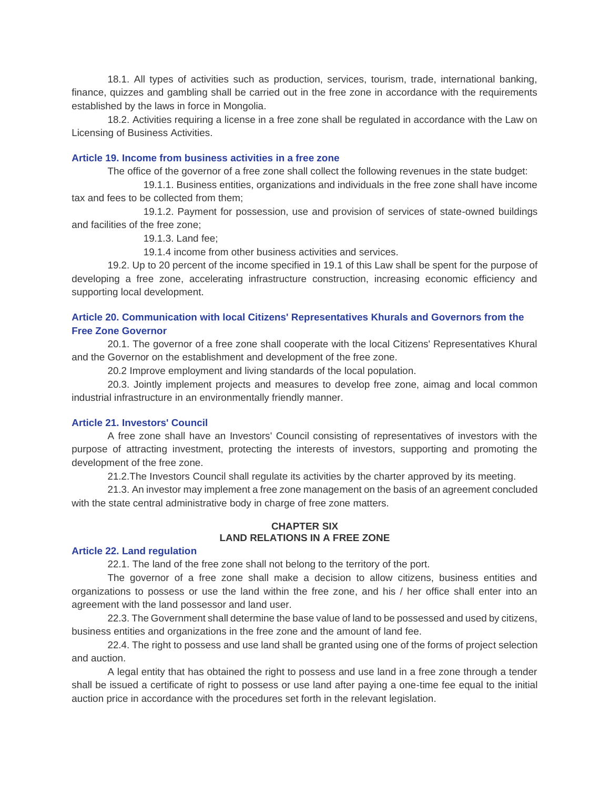18.1. All types of activities such as production, services, tourism, trade, international banking, finance, quizzes and gambling shall be carried out in the free zone in accordance with the requirements established by the laws in force in Mongolia.

18.2. Activities requiring a license in a free zone shall be regulated in accordance with the Law on Licensing of Business Activities.

## **Article 19. Income from business activities in a free zone**

The office of the governor of a free zone shall collect the following revenues in the state budget:

19.1.1. Business entities, organizations and individuals in the free zone shall have income tax and fees to be collected from them;

19.1.2. Payment for possession, use and provision of services of state-owned buildings and facilities of the free zone;

19.1.3. Land fee;

19.1.4 income from other business activities and services.

19.2. Up to 20 percent of the income specified in 19.1 of this Law shall be spent for the purpose of developing a free zone, accelerating infrastructure construction, increasing economic efficiency and supporting local development.

# **Article 20. Communication with local Citizens' Representatives Khurals and Governors from the Free Zone Governor**

20.1. The governor of a free zone shall cooperate with the local Citizens' Representatives Khural and the Governor on the establishment and development of the free zone.

20.2 Improve employment and living standards of the local population.

20.3. Jointly implement projects and measures to develop free zone, aimag and local common industrial infrastructure in an environmentally friendly manner.

#### **Article 21. Investors' Council**

A free zone shall have an Investors' Council consisting of representatives of investors with the purpose of attracting investment, protecting the interests of investors, supporting and promoting the development of the free zone.

21.2.The Investors Council shall regulate its activities by the charter approved by its meeting.

21.3. An investor may implement a free zone management on the basis of an agreement concluded with the state central administrative body in charge of free zone matters.

# **CHAPTER SIX LAND RELATIONS IN A FREE ZONE**

#### **Article 22. Land regulation**

22.1. The land of the free zone shall not belong to the territory of the port.

The governor of a free zone shall make a decision to allow citizens, business entities and organizations to possess or use the land within the free zone, and his / her office shall enter into an agreement with the land possessor and land user.

22.3. The Government shall determine the base value of land to be possessed and used by citizens, business entities and organizations in the free zone and the amount of land fee.

22.4. The right to possess and use land shall be granted using one of the forms of project selection and auction.

A legal entity that has obtained the right to possess and use land in a free zone through a tender shall be issued a certificate of right to possess or use land after paying a one-time fee equal to the initial auction price in accordance with the procedures set forth in the relevant legislation.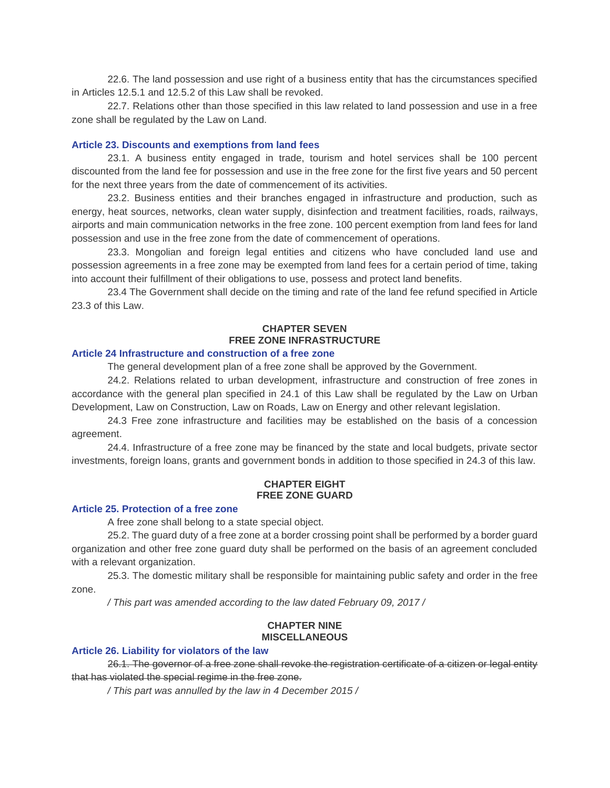22.6. The land possession and use right of a business entity that has the circumstances specified in Articles 12.5.1 and 12.5.2 of this Law shall be revoked.

22.7. Relations other than those specified in this law related to land possession and use in a free zone shall be regulated by the Law on Land.

### **Article 23. Discounts and exemptions from land fees**

23.1. A business entity engaged in trade, tourism and hotel services shall be 100 percent discounted from the land fee for possession and use in the free zone for the first five years and 50 percent for the next three years from the date of commencement of its activities.

23.2. Business entities and their branches engaged in infrastructure and production, such as energy, heat sources, networks, clean water supply, disinfection and treatment facilities, roads, railways, airports and main communication networks in the free zone. 100 percent exemption from land fees for land possession and use in the free zone from the date of commencement of operations.

23.3. Mongolian and foreign legal entities and citizens who have concluded land use and possession agreements in a free zone may be exempted from land fees for a certain period of time, taking into account their fulfillment of their obligations to use, possess and protect land benefits.

23.4 The Government shall decide on the timing and rate of the land fee refund specified in Article 23.3 of this Law.

# **CHAPTER SEVEN FREE ZONE INFRASTRUCTURE**

#### **Article 24 Infrastructure and construction of a free zone**

The general development plan of a free zone shall be approved by the Government.

24.2. Relations related to urban development, infrastructure and construction of free zones in accordance with the general plan specified in 24.1 of this Law shall be regulated by the Law on Urban Development, Law on Construction, Law on Roads, Law on Energy and other relevant legislation.

24.3 Free zone infrastructure and facilities may be established on the basis of a concession agreement.

24.4. Infrastructure of a free zone may be financed by the state and local budgets, private sector investments, foreign loans, grants and government bonds in addition to those specified in 24.3 of this law.

## **CHAPTER EIGHT FREE ZONE GUARD**

# **Article 25. Protection of a free zone**

A free zone shall belong to a state special object.

25.2. The guard duty of a free zone at a border crossing point shall be performed by a border guard organization and other free zone guard duty shall be performed on the basis of an agreement concluded with a relevant organization.

25.3. The domestic military shall be responsible for maintaining public safety and order in the free zone.

*/ This part was amended according to the law dated February 09, 2017 /*

# **CHAPTER NINE MISCELLANEOUS**

#### **Article 26. Liability for violators of the law**

26.1. The governor of a free zone shall revoke the registration certificate of a citizen or legal entity that has violated the special regime in the free zone.

*/ This part was annulled by the law in 4 December 2015 /*